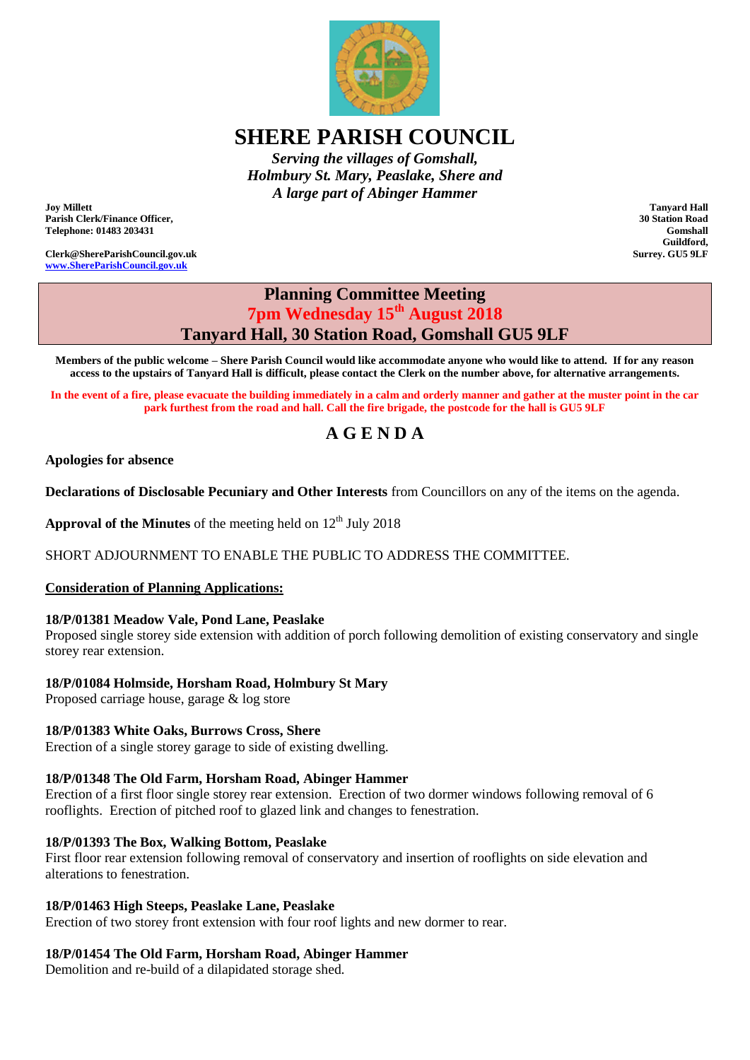

# **SHERE PARISH COUNCIL**

*Serving the villages of Gomshall, Holmbury St. Mary, Peaslake, Shere and A large part of Abinger Hammer*

**Joy Millett Parish Clerk/Finance Officer, Telephone: 01483 203431**

**Clerk@ShereParishCouncil.gov.uk [www.ShereParishCouncil.gov.uk](http://www.shereparishcouncil.gov.uk/)**

**Tanyard Hall 30 Station Road Gomshall Guildford, Surrey. GU5 9LF**

# **Planning Committee Meeting 7pm Wednesday 15th August 2018 Tanyard Hall, 30 Station Road, Gomshall GU5 9LF**

**Members of the public welcome – Shere Parish Council would like accommodate anyone who would like to attend. If for any reason access to the upstairs of Tanyard Hall is difficult, please contact the Clerk on the number above, for alternative arrangements.**

**In the event of a fire, please evacuate the building immediately in a calm and orderly manner and gather at the muster point in the car park furthest from the road and hall. Call the fire brigade, the postcode for the hall is GU5 9LF**

# **A G E N D A**

#### **Apologies for absence**

**Declarations of Disclosable Pecuniary and Other Interests** from Councillors on any of the items on the agenda.

**Approval of the Minutes** of the meeting held on  $12<sup>th</sup>$  July 2018

SHORT ADJOURNMENT TO ENABLE THE PUBLIC TO ADDRESS THE COMMITTEE.

#### **Consideration of Planning Applications:**

### **18/P/01381 Meadow Vale, Pond Lane, Peaslake**

Proposed single storey side extension with addition of porch following demolition of existing conservatory and single storey rear extension.

### **18/P/01084 Holmside, Horsham Road, Holmbury St Mary**

Proposed carriage house, garage & log store

#### **18/P/01383 White Oaks, Burrows Cross, Shere**

Erection of a single storey garage to side of existing dwelling.

#### **18/P/01348 The Old Farm, Horsham Road, Abinger Hammer**

Erection of a first floor single storey rear extension. Erection of two dormer windows following removal of 6 rooflights. Erection of pitched roof to glazed link and changes to fenestration.

#### **18/P/01393 The Box, Walking Bottom, Peaslake**

First floor rear extension following removal of conservatory and insertion of rooflights on side elevation and alterations to fenestration.

#### **18/P/01463 High Steeps, Peaslake Lane, Peaslake**

Erection of two storey front extension with four roof lights and new dormer to rear.

#### **18/P/01454 The Old Farm, Horsham Road, Abinger Hammer**

Demolition and re-build of a dilapidated storage shed.